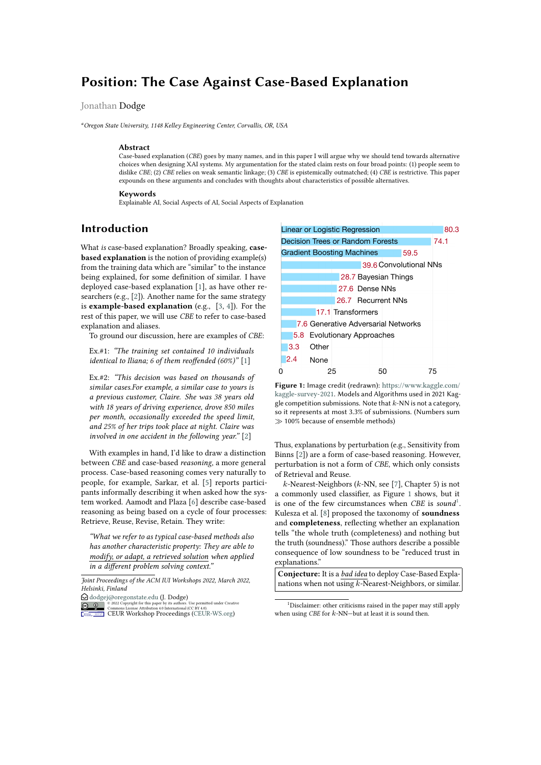# **Position: The Case Against Case-Based Explanation**

### Jonathan Dodge

*<sup>a</sup>Oregon State University, 1148 Kelley Engineering Center, Corvallis, OR, USA*

#### **Abstract**

Case-based explanation (*CBE*) goes by many names, and in this paper I will argue why we should tend towards alternative choices when designing XAI systems. My argumentation for the stated claim rests on four broad points: (1) people seem to dislike *CBE*; (2) *CBE* relies on weak semantic linkage; (3) *CBE* is epistemically outmatched; (4) *CBE* is restrictive. This paper expounds on these arguments and concludes with thoughts about characteristics of possible alternatives.

#### **Keywords**

Explainable AI, Social Aspects of AI, Social Aspects of Explanation

### **Introduction**

What *is* case-based explanation? Broadly speaking, **casebased explanation** is the notion of providing example(s) from the training data which are "similar" to the instance being explained, for some definition of similar. I have deployed case-based explanation [\[1\]](#page-5-0), as have other researchers (e.g., [\[2\]](#page-5-1)). Another name for the same strategy is **example-based explanation** (e.g., [\[3,](#page-5-2) [4\]](#page-5-3)). For the rest of this paper, we will use *CBE* to refer to case-based explanation and aliases.

To ground our discussion, here are examples of *CBE*:

Ex.#1: *"The training set contained 10 individuals identical to Iliana; 6 of them reoffended (60%)"* [\[1\]](#page-5-0)

Ex.#2: *"This decision was based on thousands of similar cases.For example, a similar case to yours is a previous customer, Claire. She was 38 years old with 18 years of driving experience, drove 850 miles per month, occasionally exceeded the speed limit, and 25% of her trips took place at night. Claire was involved in one accident in the following year."* [\[2\]](#page-5-1)

With examples in hand, I'd like to draw a distinction between *CBE* and case-based *reasoning*, a more general process. Case-based reasoning comes very naturally to people, for example, Sarkar, et al. [\[5\]](#page-5-4) reports participants informally describing it when asked how the system worked. Aamodt and Plaza [\[6\]](#page-5-5) describe case-based reasoning as being based on a cycle of four processes: Retrieve, Reuse, Revise, Retain. They write:

*"What we refer to as typical case-based methods also has another characteristic property: They are able to modify, or adapt, a retrieved solution when applied in a different problem solving context."*

er by its authors. Use permitted under Creative<br>4.0 International (CC BY 4.0) Commons License Attribution 4.0 International (CC BY 4.0).<br>ISSN 162007-WEUR-WS.org) CEUR-WS.org [CEUR](https://creativecommons.org/licenses/by/4.0) **CEUR** Workshop **Committee** [Proceedings](http://ceur-ws.org)



<span id="page-0-0"></span>**Figure 1:** Image credit (redrawn): [https://www.kaggle.com/](https://www.kaggle.com/kaggle-survey-2021) [kaggle-survey-2021](https://www.kaggle.com/kaggle-survey-2021). Models and Algorithms used in 2021 Kaggle competition submissions. Note that  $k$ -NN is not a category, so it represents at most 3.3% of submissions. (Numbers sum ≫ 100% because of ensemble methods)

Thus, explanations by perturbation (e.g., Sensitivity from Binns [\[2\]](#page-5-1)) are a form of case-based reasoning. However, perturbation is not a form of *CBE*, which only consists of Retrieval and Reuse.

 $k$ -Nearest-Neighbors ( $k$ -NN, see [\[7\]](#page-5-6), Chapter 5) is not a commonly used classifier, as Figure [1](#page-0-0) shows, but it is one of the few circumstances when *CBE* is *sound*<sup>[1](#page-0-1)</sup>. Kulesza et al. [\[8\]](#page-5-7) proposed the taxonomy of **soundness** and **completeness**, reflecting whether an explanation tells "the whole truth (completeness) and nothing but the truth (soundness)." Those authors describe a possible consequence of low soundness to be "reduced trust in explanations."

**Conjecture:** It is a *bad idea* to deploy Case-Based Explanations when not using  $k$ -Nearest-Neighbors, or similar.

*Joint Proceedings of the ACM IUI Workshops 2022, March 2022, Helsinki, Finland*

 $\bigcirc$  [dodgej@oregonstate.edu](mailto:dodgej@oregonstate.edu) (J. Dodge)

<span id="page-0-1"></span><sup>&</sup>lt;sup>1</sup>Disclaimer: other criticisms raised in the paper may still apply when using *CBE* for  $k$ -NN-but at least it is sound then.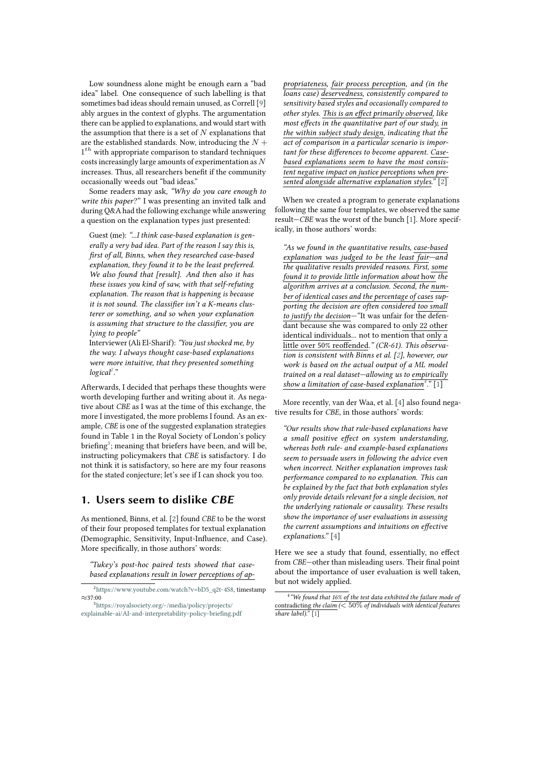Low soundness alone might be enough earn a "bad idea" label. One consequence of such labelling is that sometimes bad ideas should remain unused, as Correll [\[9\]](#page-5-8) ably argues in the context of glyphs. The argumentation there can be applied to explanations, and would start with the assumption that there is a set of  $N$  explanations that are the established standards. Now, introducing the  $N +$  $1<sup>th</sup>$  with appropriate comparison to standard techniques costs increasingly large amounts of experimentation as  $N$ increases. Thus, all researchers benefit if the community occasionally weeds out "bad ideas."

Some readers may ask, *"Why do you care enough to write this paper?"* I was presenting an invited talk and during Q&A had the following exchange while answering a question on the explanation types just presented:

Guest (me): *"...I think case-based explanation is generally a very bad idea. Part of the reason I say this is, first of all, Binns, when they researched case-based explanation, they found it to be the least preferred. We also found that [result]. And then also it has these issues you kind of saw, with that self-refuting explanation. The reason that is happening is because it is not sound. The classifier isn't a K-means clusterer or something, and so when your explanation is assuming that structure to the classifier, you are lying to people"*

Interviewer (Ali El-Sharif): *"You just shocked me, by the way. I always thought case-based explanations were more intuitive, that they presented something logical[2](#page-1-0) ."*

Afterwards, I decided that perhaps these thoughts were worth developing further and writing about it. As negative about *CBE* as I was at the time of this exchange, the more I investigated, the more problems I found. As an example, *CBE* is one of the suggested explanation strategies found in Table 1 in the Royal Society of London's policy briefing<sup>[3](#page-1-1)</sup>; meaning that briefers have been, and will be, instructing policymakers that *CBE* is satisfactory. I do not think it is satisfactory, so here are my four reasons for the stated conjecture; let's see if I can shock you too.

### **1. Users seem to dislike CBE**

As mentioned, Binns, et al. [\[2\]](#page-5-1) found *CBE* to be the worst of their four proposed templates for textual explanation (Demographic, Sensitivity, Input-Influence, and Case). More specifically, in those authors' words:

*"Tukey's post-hoc paired tests showed that casebased explanations result in lower perceptions of ap-* *propriateness, fair process perception, and (in the loans case) deservedness, consistently compared to sensitivity based styles and occasionally compared to other styles. This is an effect primarily observed, like most effects in the quantitative part of our study, in the within subject study design, indicating that the act of comparison in a particular scenario is important for these differences to become apparent. Casebased explanations seem to have the most consistent negative impact on justice perceptions when presented alongside alternative explanation styles."* [\[2\]](#page-5-1)

When we created a program to generate explanations following the same four templates, we observed the same result—*CBE* was the worst of the bunch [\[1\]](#page-5-0). More specifically, in those authors' words:

*"As we found in the quantitative results, case-based explanation was judged to be the least fair—and the qualitative results provided reasons. First, some found it to provide little information about* how *the algorithm arrives at a conclusion. Second, the number of identical cases and the percentage of cases supporting the decision are often considered too small to justify the decision—"*It was unfair for the defendant because she was compared to only 22 other identical individuals... not to mention that only a little over 50% reoffended.*" (CR-61). This observation is consistent with Binns et al. [\[2\]](#page-5-1), however, our work is based on the actual output of a ML model trained on a real dataset—allowing us to empirically show a limitation of case-based explanation[4](#page-1-2) ."* [\[1\]](#page-5-0)

More recently, van der Waa, et al. [\[4\]](#page-5-3) also found negative results for *CBE*, in those authors' words:

*"Our results show that rule-based explanations have a small positive effect on system understanding, whereas both rule- and example-based explanations seem to persuade users in following the advice even when incorrect. Neither explanation improves task performance compared to no explanation. This can be explained by the fact that both explanation styles only provide details relevant for a single decision, not the underlying rationale or causality. These results show the importance of user evaluations in assessing the current assumptions and intuitions on effective explanations."* [\[4\]](#page-5-3)

Here we see a study that found, essentially, no effect from *CBE*—other than misleading users. Their final point about the importance of user evaluation is well taken, but not widely applied.

<span id="page-1-0"></span><sup>2</sup>[https://www.youtube.com/watch?v=bD5\\_q2t-4S8,](https://www.youtube.com/watch?v=bD5_q2t-4S8) timestamp ≈37:00

<span id="page-1-1"></span><sup>3</sup>[https://royalsociety.org/-/media/policy/projects/](https://royalsociety.org/-/media/policy/projects/explainable-ai/AI-and-interpretability-policy-briefing.pdf) [explainable-ai/AI-and-interpretability-policy-briefing.pdf](https://royalsociety.org/-/media/policy/projects/explainable-ai/AI-and-interpretability-policy-briefing.pdf)

<span id="page-1-2"></span><sup>4</sup> *"We found that 16% of the test data exhibited the failure mode of* contradicting *the claim (*< 50% *of individuals with identical features share label)."* [\[1\]](#page-5-0)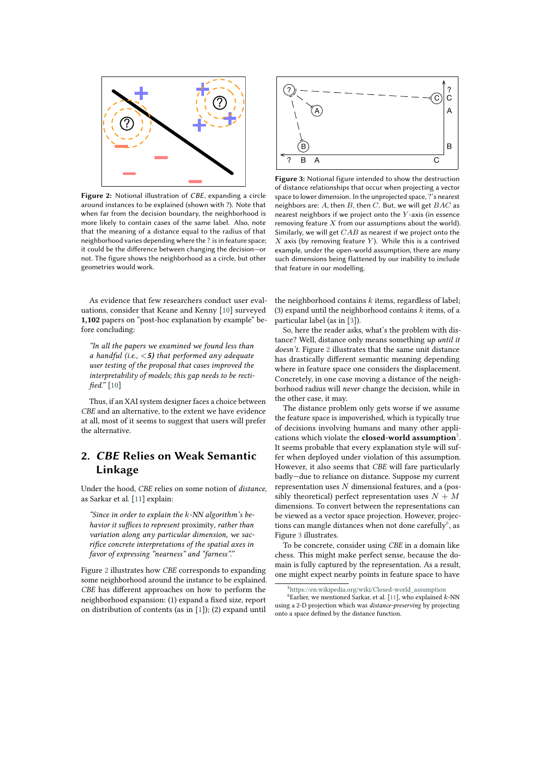

**Figure 2:** Notional illustration of *CBE*, expanding a circle around instances to be explained (shown with ?). Note that when far from the decision boundary, the neighborhood is more likely to contain cases of the same label. Also, note that the meaning of a distance equal to the radius of that neighborhood varies depending where the ? is in feature space; it could be the difference between changing the decision—or not. The figure shows the neighborhood as a circle, but other geometries would work.

<span id="page-2-0"></span>As evidence that few researchers conduct user evaluations, consider that Keane and Kenny [\[10\]](#page-5-9) surveyed **1,102** papers on "post-hoc explanation by example" before concluding:

*"In all the papers we examined we found less than a handful (i.e.,* <*5) that performed any adequate user testing of the proposal that cases improved the interpretability of models; this gap needs to be rectified."* [\[10\]](#page-5-9)

Thus, if an XAI system designer faces a choice between *CBE* and an alternative, to the extent we have evidence at all, most of it seems to suggest that users will prefer the alternative.

## **2. CBE Relies on Weak Semantic Linkage**

Under the hood, *CBE* relies on some notion of *distance*, as Sarkar et al. [\[11\]](#page-5-10) explain:

"Since in order to explain the k-NN algorithm's be*havior it suffices to represent* proximity*, rather than variation along any particular dimension, we sacrifice concrete interpretations of the spatial axes in favor of expressing "nearness" and "farness"."*

Figure [2](#page-2-0) illustrates how *CBE* corresponds to expanding some neighborhood around the instance to be explained. *CBE* has different approaches on how to perform the neighborhood expansion: (1) expand a fixed size, report on distribution of contents (as in [\[1\]](#page-5-0)); (2) expand until



<span id="page-2-3"></span>**Figure 3:** Notional figure intended to show the destruction of distance relationships that occur when projecting a vector space to lower dimension. In the unprojected space, ?'s nearest neighbors are:  $A$ , then  $B$ , then  $C$ . But, we will get  $BAC$  as nearest neighbors if we project onto the  $Y$ -axis (in essence removing feature  $X$  from our assumptions about the world). Similarly, we will get  $CAB$  as nearest if we project onto the  $X$  axis (by removing feature  $Y$ ). While this is a contrived example, under the open-world assumption, there are *many* such dimensions being flattened by our inability to include that feature in our modelling.

the neighborhood contains  $k$  items, regardless of label; (3) expand until the neighborhood contains  $k$  items, of a particular label (as in [\[3\]](#page-5-2)).

So, here the reader asks, what's the problem with distance? Well, distance only means something *up until it doesn't*. Figure [2](#page-2-0) illustrates that the same unit distance has drastically different semantic meaning depending where in feature space one considers the displacement. Concretely, in one case moving a distance of the neighborhood radius will *never* change the decision, while in the other case, it may.

The distance problem only gets worse if we assume the feature space is impoverished, which is typically true of decisions involving humans and many other applications which violate the **closed-world assumption**[5](#page-2-1) . It seems probable that every explanation style will suffer when deployed under violation of this assumption. However, it also seems that *CBE* will fare particularly badly—due to reliance on distance. Suppose my current representation uses  $N$  dimensional features, and a (possibly theoretical) perfect representation uses  $N + M$ dimensions. To convert between the representations can be viewed as a vector space projection. However, projec-tions can mangle distances when not done carefully<sup>[6](#page-2-2)</sup>, as Figure [3](#page-2-3) illustrates.

To be concrete, consider using *CBE* in a domain like chess. This might make perfect sense, because the domain is fully captured by the representation. As a result, one might expect nearby points in feature space to have

<span id="page-2-2"></span><span id="page-2-1"></span> $5$ [https://en.wikipedia.org/wiki/Closed-world\\_assumption](https://en.wikipedia.org/wiki/Closed-world_assumption)

 $6$ Earlier, we mentioned Sarkar, et al. [\[11\]](#page-5-10), who explained  $k$ -NN using a 2-D projection which was *distance-preserving* by projecting onto a space defined by the distance function.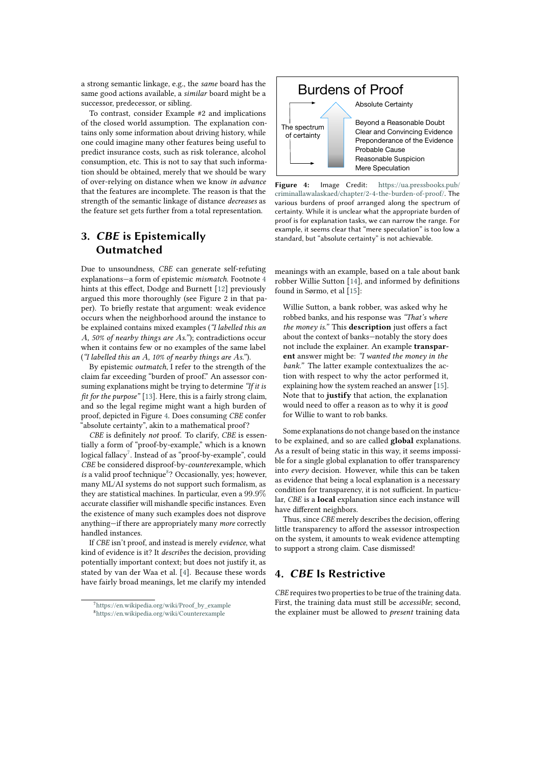a strong semantic linkage, e.g., the *same* board has the same good actions available, a *similar* board might be a successor, predecessor, or sibling.

To contrast, consider Example #2 and implications of the closed world assumption. The explanation contains only some information about driving history, while one could imagine many other features being useful to predict insurance costs, such as risk tolerance, alcohol consumption, etc. This is not to say that such information should be obtained, merely that we should be wary of over-relying on distance when we know *in advance* that the features are incomplete. The reason is that the strength of the semantic linkage of distance *decreases* as the feature set gets further from a total representation.

## **3. CBE is Epistemically Outmatched**

Due to unsoundness, *CBE* can generate self-refuting explanations—a form of epistemic *mismatch*. Footnote [4](#page-1-2) hints at this effect, Dodge and Burnett [\[12\]](#page-5-11) previously argued this more thoroughly (see Figure 2 in that paper). To briefly restate that argument: weak evidence occurs when the neighborhood around the instance to be explained contains mixed examples (*"I labelled this an , 50% of nearby things are s."*); contradictions occur when it contains few or no examples of the same label (*"I labelled this an A, 10% of nearby things are As."*).

By epistemic *outmatch*, I refer to the strength of the claim far exceeding "burden of proof." An assessor consuming explanations might be trying to determine *"If it is fit for the purpose"* [\[13\]](#page-5-12). Here, this is a fairly strong claim, and so the legal regime might want a high burden of proof, depicted in Figure [4.](#page-3-0) Does consuming *CBE* confer "absolute certainty", akin to a mathematical proof?

*CBE* is definitely *not* proof. To clarify, *CBE* is essentially a form of "proof-by-example," which is a known  $\log$ ical fallacy $^7$  $^7$ . Instead of as "proof-by-example", could *CBE* be considered disproof-by-*counter*example, which is a valid proof technique<sup>[8](#page-3-2)</sup>? Occasionally, yes; however, many ML/AI systems do not support such formalism, as they are statistical machines. In particular, even a 99.9% accurate classifier will mishandle specific instances. Even the existence of many such examples does not disprove anything—if there are appropriately many *more* correctly handled instances.

If *CBE* isn't proof, and instead is merely *evidence*, what kind of evidence is it? It *describes* the decision, providing potentially important context; but does not justify it, as stated by van der Waa et al. [\[4\]](#page-5-3). Because these words have fairly broad meanings, let me clarify my intended



<span id="page-3-0"></span>**Figure 4:** Image Credit: [https://ua.pressbooks.pub/](https://ua.pressbooks.pub/criminallawalaskaed/chapter/2-4-the-burden-of-proof/) [criminallawalaskaed/chapter/2-4-the-burden-of-proof/](https://ua.pressbooks.pub/criminallawalaskaed/chapter/2-4-the-burden-of-proof/). The various burdens of proof arranged along the spectrum of certainty. While it is unclear what the appropriate burden of proof is for explanation tasks, we can narrow the range. For example, it seems clear that "mere speculation" is too low a standard, but "absolute certainty" is not achievable.

meanings with an example, based on a tale about bank robber Willie Sutton [\[14\]](#page-5-13), and informed by definitions found in Sørmo, et al [\[15\]](#page-5-14):

Willie Sutton, a bank robber, was asked why he robbed banks, and his response was *"That's where the money is."* This **description** just offers a fact about the context of banks—notably the story does not include the explainer. An example **transparent** answer might be: *"I wanted the money in the bank."* The latter example contextualizes the action with respect to why the actor performed it, explaining how the system reached an answer [\[15\]](#page-5-14). Note that to **justify** that action, the explanation would need to offer a reason as to why it is *good* for Willie to want to rob banks.

Some explanations do not change based on the instance to be explained, and so are called **global** explanations. As a result of being static in this way, it seems impossible for a single global explanation to offer transparency into *every* decision. However, while this can be taken as evidence that being a local explanation is a necessary condition for transparency, it is not sufficient. In particular, *CBE* is a **local** explanation since each instance will have different neighbors.

Thus, since *CBE* merely describes the decision, offering little transparency to afford the assessor introspection on the system, it amounts to weak evidence attempting to support a strong claim. Case dismissed!

## **4. CBE Is Restrictive**

*CBE* requires two properties to be true of the training data. First, the training data must still be *accessible*; second, the explainer must be allowed to *present* training data

<span id="page-3-2"></span><span id="page-3-1"></span><sup>&</sup>lt;sup>7</sup>[https://en.wikipedia.org/wiki/Proof\\_by\\_example](https://en.wikipedia.org/wiki/Proof_by_example) <sup>8</sup><https://en.wikipedia.org/wiki/Counterexample>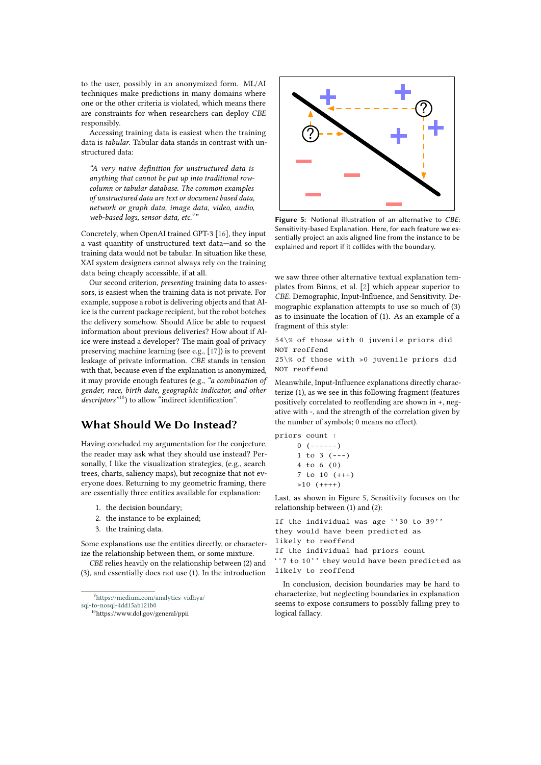to the user, possibly in an anonymized form. ML/AI techniques make predictions in many domains where one or the other criteria is violated, which means there are constraints for when researchers can deploy *CBE* responsibly.

Accessing training data is easiest when the training data is *tabular*. Tabular data stands in contrast with unstructured data:

*"A very naive definition for unstructured data is anything that cannot be put up into traditional rowcolumn or tabular database. The common examples of unstructured data are text or document based data, network or graph data, image data, video, audio, web-based logs, sensor data, etc.[9](#page-4-0) "*

Concretely, when OpenAI trained GPT-3 [\[16\]](#page-5-15), they input a vast quantity of unstructured text data—and so the training data would not be tabular. In situation like these, XAI system designers cannot always rely on the training data being cheaply accessible, if at all.

Our second criterion, *presenting* training data to assessors, is easiest when the training data is not private. For example, suppose a robot is delivering objects and that Alice is the current package recipient, but the robot botches the delivery somehow. Should Alice be able to request information about previous deliveries? How about if Alice were instead a developer? The main goal of privacy preserving machine learning (see e.g., [\[17\]](#page-5-16)) is to prevent leakage of private information. *CBE* stands in tension with that, because even if the explanation is anonymized, it may provide enough features (e.g., *"a combination of gender, race, birth date, geographic indicator, and other descriptors*<sup>"[10](#page-4-1)</sup>) to allow "indirect identification".

## **What Should We Do Instead?**

Having concluded my argumentation for the conjecture, the reader may ask what they should use instead? Personally, I like the visualization strategies, (e.g., search trees, charts, saliency maps), but recognize that not everyone does. Returning to my geometric framing, there are essentially three entities available for explanation:

- 1. the decision boundary;
- 2. the instance to be explained;
- 3. the training data.

Some explanations use the entities directly, or characterize the relationship between them, or some mixture.

*CBE* relies heavily on the relationship between (2) and (3), and essentially does not use (1). In the introduction

<span id="page-4-0"></span><sup>9</sup>[https://medium.com/analytics-vidhya/](https://medium.com/analytics-vidhya/sql-to-nosql-4dd15ab121b0)

```
sql-to-nosql-4dd15ab121b0
```

```
10https://www.dol.gov/general/ppii
```


<span id="page-4-2"></span>**Figure 5:** Notional illustration of an alternative to *CBE*: Sensitivity-based Explanation. Here, for each feature we essentially project an axis aligned line from the instance to be explained and report if it collides with the boundary.

we saw three other alternative textual explanation templates from Binns, et al. [\[2\]](#page-5-1) which appear superior to *CBE*: Demographic, Input-Influence, and Sensitivity. Demographic explanation attempts to use so much of (3) as to insinuate the location of (1). As an example of a fragment of this style:

54\% of those with 0 juvenile priors did NOT reoffend

25\% of those with >0 juvenile priors did NOT reoffend

Meanwhile, Input-Influence explanations directly characterize (1), as we see in this following fragment (features positively correlated to reoffending are shown in +, negative with -, and the strength of the correlation given by the number of symbols; 0 means no effect).

priors count :

$$
\begin{array}{ccc}\n0 & (----) \\
1 & \text{to} & 3 & (---) \\
4 & \text{to} & 6 & (0) \\
7 & \text{to} & 10 & (+++) \\
>10 & (+++)\n\end{array}
$$

Last, as shown in Figure [5,](#page-4-2) Sensitivity focuses on the relationship between (1) and (2):

If the individual was age ''30 to 39'' they would have been predicted as likely to reoffend

If the individual had priors count

''7 to 10'' they would have been predicted as likely to reoffend

In conclusion, decision boundaries may be hard to characterize, but neglecting boundaries in explanation seems to expose consumers to possibly falling prey to logical fallacy.